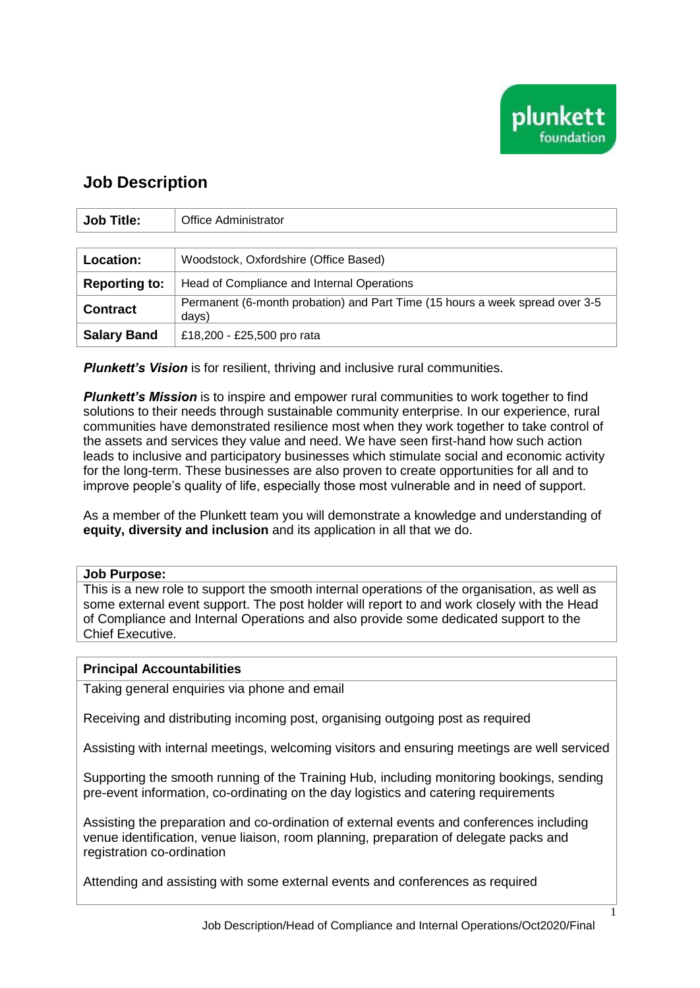

1

## **Job Description**

| <b>Job Title:</b>    | Office Administrator                                                                  |
|----------------------|---------------------------------------------------------------------------------------|
|                      |                                                                                       |
| <b>Location:</b>     | Woodstock, Oxfordshire (Office Based)                                                 |
| <b>Reporting to:</b> | Head of Compliance and Internal Operations                                            |
| <b>Contract</b>      | Permanent (6-month probation) and Part Time (15 hours a week spread over 3-5<br>days) |
| <b>Salary Band</b>   | £18,200 - £25,500 pro rata                                                            |

*Plunkett's Vision* is for resilient, thriving and inclusive rural communities.

*Plunkett's Mission* is to inspire and empower rural communities to work together to find solutions to their needs through sustainable community enterprise. In our experience, rural communities have demonstrated resilience most when they work together to take control of the assets and services they value and need. We have seen first-hand how such action leads to inclusive and participatory businesses which stimulate social and economic activity for the long-term. These businesses are also proven to create opportunities for all and to improve people's quality of life, especially those most vulnerable and in need of support.

As a member of the Plunkett team you will demonstrate a knowledge and understanding of **equity, diversity and inclusion** and its application in all that we do.

## **Job Purpose:**

This is a new role to support the smooth internal operations of the organisation, as well as some external event support. The post holder will report to and work closely with the Head of Compliance and Internal Operations and also provide some dedicated support to the Chief Executive.

## **Principal Accountabilities**

Taking general enquiries via phone and email

Receiving and distributing incoming post, organising outgoing post as required

Assisting with internal meetings, welcoming visitors and ensuring meetings are well serviced

Supporting the smooth running of the Training Hub, including monitoring bookings, sending pre-event information, co-ordinating on the day logistics and catering requirements

Assisting the preparation and co-ordination of external events and conferences including venue identification, venue liaison, room planning, preparation of delegate packs and registration co-ordination

Attending and assisting with some external events and conferences as required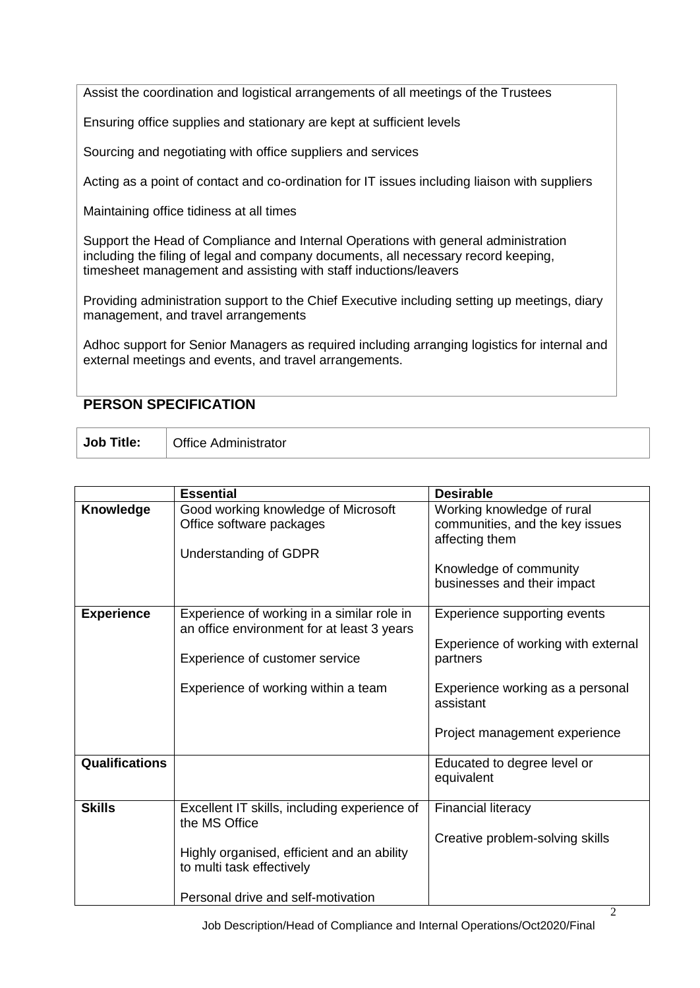Assist the coordination and logistical arrangements of all meetings of the Trustees

Ensuring office supplies and stationary are kept at sufficient levels

Sourcing and negotiating with office suppliers and services

Acting as a point of contact and co-ordination for IT issues including liaison with suppliers

Maintaining office tidiness at all times

Support the Head of Compliance and Internal Operations with general administration including the filing of legal and company documents, all necessary record keeping, timesheet management and assisting with staff inductions/leavers

Providing administration support to the Chief Executive including setting up meetings, diary management, and travel arrangements

Adhoc support for Senior Managers as required including arranging logistics for internal and external meetings and events, and travel arrangements.

## **PERSON SPECIFICATION**

**Job Title:** Office Administrator

|                       | <b>Essential</b>                                                                                                                                                               | <b>Desirable</b>                                                                                                                                                  |
|-----------------------|--------------------------------------------------------------------------------------------------------------------------------------------------------------------------------|-------------------------------------------------------------------------------------------------------------------------------------------------------------------|
| Knowledge             | Good working knowledge of Microsoft<br>Office software packages<br><b>Understanding of GDPR</b>                                                                                | Working knowledge of rural<br>communities, and the key issues<br>affecting them<br>Knowledge of community<br>businesses and their impact                          |
| <b>Experience</b>     | Experience of working in a similar role in<br>an office environment for at least 3 years<br>Experience of customer service<br>Experience of working within a team              | Experience supporting events<br>Experience of working with external<br>partners<br>Experience working as a personal<br>assistant<br>Project management experience |
| <b>Qualifications</b> |                                                                                                                                                                                | Educated to degree level or<br>equivalent                                                                                                                         |
| <b>Skills</b>         | Excellent IT skills, including experience of<br>the MS Office<br>Highly organised, efficient and an ability<br>to multi task effectively<br>Personal drive and self-motivation | <b>Financial literacy</b><br>Creative problem-solving skills                                                                                                      |